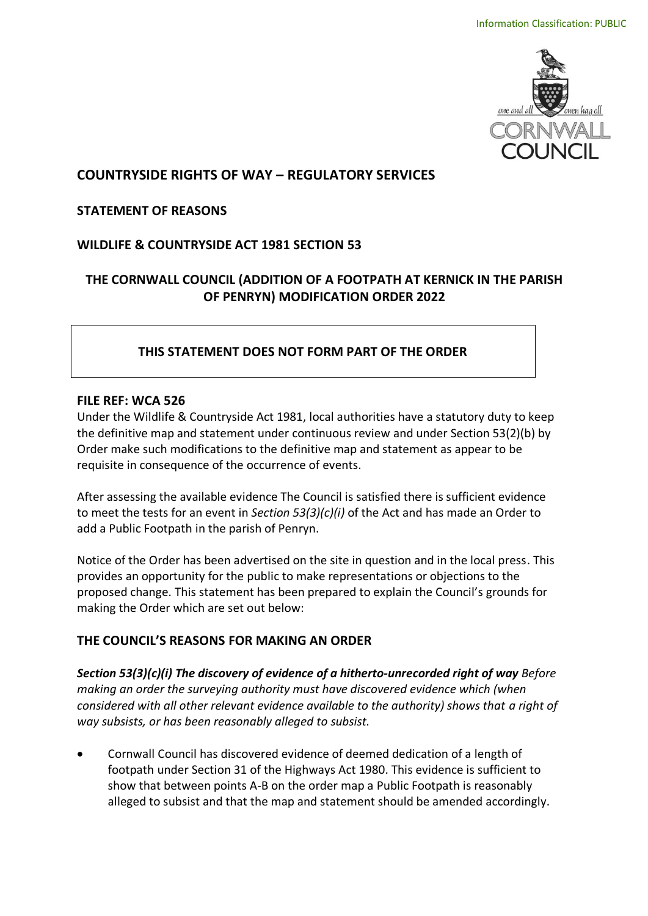

# **COUNTRYSIDE RIGHTS OF WAY – REGULATORY SERVICES**

### **STATEMENT OF REASONS**

# **WILDLIFE & COUNTRYSIDE ACT 1981 SECTION 53**

# **THE CORNWALL COUNCIL (ADDITION OF A FOOTPATH AT KERNICK IN THE PARISH OF PENRYN) MODIFICATION ORDER 2022**

## **THIS STATEMENT DOES NOT FORM PART OF THE ORDER**

#### **FILE REF: WCA 526**

 Under the Wildlife & Countryside Act 1981, local authorities have a statutory duty to keep the definitive map and statement under continuous review and under Section 53(2)(b) by Order make such modifications to the definitive map and statement as appear to be requisite in consequence of the occurrence of events.

 After assessing the available evidence The Council is satisfied there is sufficient evidence to meet the tests for an event in *Section 53(3)(c)(i)* of the Act and has made an Order to add a Public Footpath in the parish of Penryn.

 Notice of the Order has been advertised on the site in question and in the local press. This provides an opportunity for the public to make representations or objections to the proposed change. This statement has been prepared to explain the Council's grounds for making the Order which are set out below:

## **THE COUNCIL'S REASONS FOR MAKING AN ORDER**

 *Section 53(3)(c)(i) The discovery of evidence of a hitherto-unrecorded right of way Before making an order the surveying authority must have discovered evidence which (when considered with all other relevant evidence available to the authority) shows that a right of way subsists, or has been reasonably alleged to subsist.* 

 • Cornwall Council has discovered evidence of deemed dedication of a length of footpath under Section 31 of the Highways Act 1980. This evidence is sufficient to show that between points A-B on the order map a Public Footpath is reasonably alleged to subsist and that the map and statement should be amended accordingly.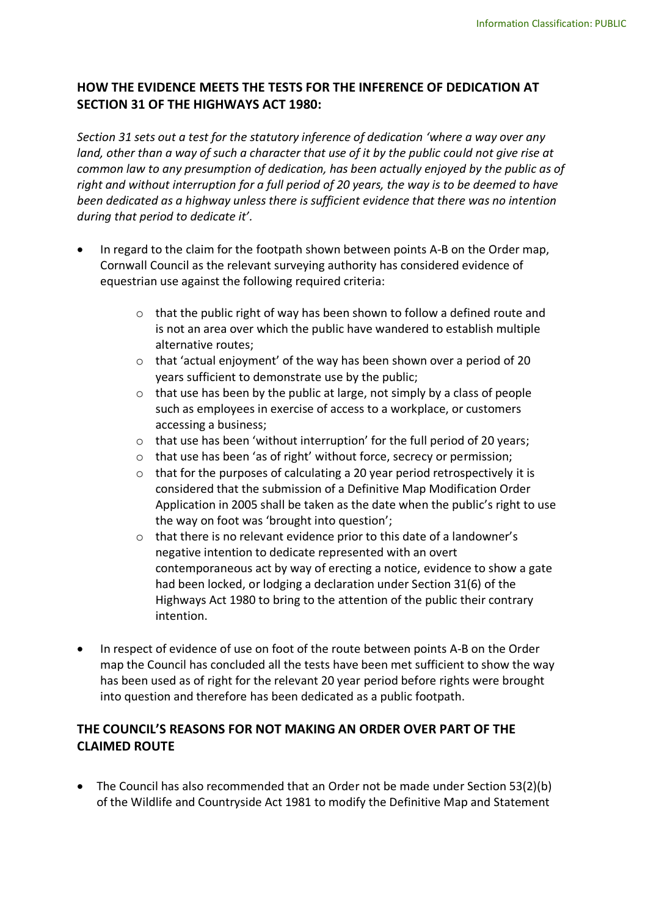## **HOW THE EVIDENCE MEETS THE TESTS FOR THE INFERENCE OF DEDICATION AT SECTION 31 OF THE HIGHWAYS ACT 1980:**

 *Section 31 sets out a test for the statutory inference of dedication 'where a way over any*  land, other than a way of such a character that use of it by the public could not give rise at  *common law to any presumption of dedication, has been actually enjoyed by the public as of right and without interruption for a full period of 20 years, the way is to be deemed to have been dedicated as a highway unless there is sufficient evidence that there was no intention during that period to dedicate it'.* 

- • In regard to the claim for the footpath shown between points A-B on the Order map, Cornwall Council as the relevant surveying authority has considered evidence of equestrian use against the following required criteria:
	- $\circ$  that the public right of way has been shown to follow a defined route and is not an area over which the public have wandered to establish multiple alternative routes;
	- o that 'actual enjoyment' of the way has been shown over a period of 20 years sufficient to demonstrate use by the public;
	- $\circ$  that use has been by the public at large, not simply by a class of people such as employees in exercise of access to a workplace, or customers accessing a business;
	- o that use has been 'without interruption' for the full period of 20 years;
	- o that use has been 'as of right' without force, secrecy or permission;
	- $\circ$  that for the purposes of calculating a 20 year period retrospectively it is considered that the submission of a Definitive Map Modification Order Application in 2005 shall be taken as the date when the public's right to use the way on foot was 'brought into question';
	- o that there is no relevant evidence prior to this date of a landowner's negative intention to dedicate represented with an overt contemporaneous act by way of erecting a notice, evidence to show a gate had been locked, or lodging a declaration under Section 31(6) of the Highways Act 1980 to bring to the attention of the public their contrary intention.
- • In respect of evidence of use on foot of the route between points A-B on the Order map the Council has concluded all the tests have been met sufficient to show the way has been used as of right for the relevant 20 year period before rights were brought into question and therefore has been dedicated as a public footpath.

### **THE COUNCIL'S REASONS FOR NOT MAKING AN ORDER OVER PART OF THE CLAIMED ROUTE**

 • The Council has also recommended that an Order not be made under Section 53(2)(b) of the Wildlife and Countryside Act 1981 to modify the Definitive Map and Statement